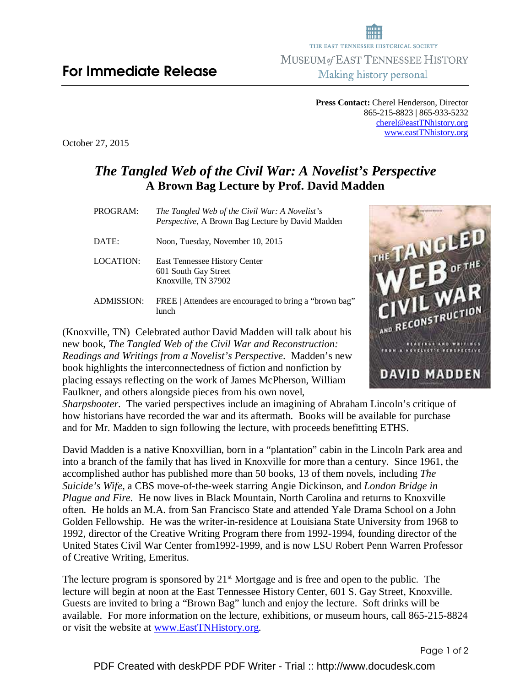**Press Contact:** Cherel Henderson, Director 865-215-8823 | 865-933-5232 cherel@eastTNhistory.org www.eastTNhistory.org

October 27, 2015

## *The Tangled Web of the Civil War: A Novelist's Perspective*  **A Brown Bag Lecture by Prof. David Madden**

| PROGRAM:         | The Tangled Web of the Civil War: A Novelist's<br>Perspective, A Brown Bag Lecture by David Madden |
|------------------|----------------------------------------------------------------------------------------------------|
| DATE:            | Noon, Tuesday, November 10, 2015                                                                   |
| <b>LOCATION:</b> | East Tennessee History Center<br>601 South Gay Street<br>Knoxville, TN 37902                       |
| ADMISSION:       | FREE   Attendees are encouraged to bring a "brown bag"<br>lunch                                    |

(Knoxville, TN) Celebrated author David Madden will talk about his new book, *The Tangled Web of the Civil War and Reconstruction: Readings and Writings from a Novelist's Perspective*. Madden's new book highlights the interconnectedness of fiction and nonfiction by placing essays reflecting on the work of James McPherson, William Faulkner, and others alongside pieces from his own novel,



*Sharpshooter*. The varied perspectives include an imagining of Abraham Lincoln's critique of how historians have recorded the war and its aftermath. Books will be available for purchase and for Mr. Madden to sign following the lecture, with proceeds benefitting ETHS.

David Madden is a native Knoxvillian, born in a "plantation" cabin in the Lincoln Park area and into a branch of the family that has lived in Knoxville for more than a century. Since 1961, the accomplished author has published more than 50 books, 13 of them novels, including *The Suicide's Wife*, a CBS move-of-the-week starring Angie Dickinson, and *London Bridge in Plague and Fire*. He now lives in Black Mountain, North Carolina and returns to Knoxville often. He holds an M.A. from San Francisco State and attended Yale Drama School on a John Golden Fellowship. He was the writer-in-residence at Louisiana State University from 1968 to 1992, director of the Creative Writing Program there from 1992-1994, founding director of the United States Civil War Center from1992-1999, and is now LSU Robert Penn Warren Professor of Creative Writing, Emeritus.

The lecture program is sponsored by  $21<sup>st</sup>$  Mortgage and is free and open to the public. The lecture will begin at noon at the East Tennessee History Center, 601 S. Gay Street, Knoxville. Guests are invited to bring a "Brown Bag" lunch and enjoy the lecture. Soft drinks will be available. For more information on the lecture, exhibitions, or museum hours, call 865-215-8824 or visit the website at www.EastTNHistory.org.